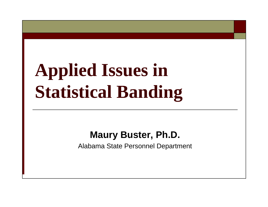# **Applied Issues in Statistical Banding**

#### **Maury Buster, Ph.D.**

Alabama State Personnel Department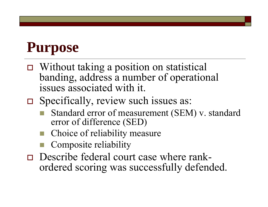#### **Purpose**

- Without taking a position on statistical banding, address a number of operational issues associated with it.
- □ Specifically, review such issues as:
	- Standard error of measurement (SEM) v. standard error of difference (SED)
	- Choice of reliability measure
	- Composite reliability
- □ Describe federal court case where rankordered scoring was successfully defended.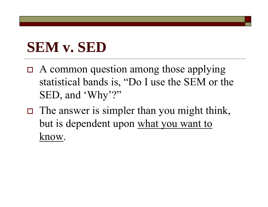- $\Box$  A common question among those applying statistical bands is, "Do I use the SEM or the SED, and 'Why'?"
- $\Box$  The answer is simpler than you might think, but is dependent upon what you want to know.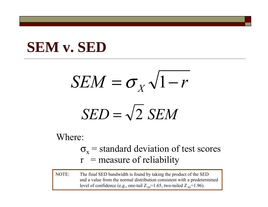$SEM = \sigma_v \sqrt{1 - r}$  $\bm{\sigma}_{\overline{X}}$  $= \sigma_{\rm v} \sqrt{1-\sigma}$ 

# $SED = \sqrt{2}$  *SEM*

#### Where:

- $\sigma_{\rm x}$  = standard deviation of test scores  $r$  = measure of reliability
- NOTE: The final SED bandwidth is found by taking the product of the SED and a value from the normal distribution consistent with a predetermined level of confidence (e.g., one-tail  $Z_{.05}=1.65$ , two-tailed  $Z_{.05}=1.96$ ).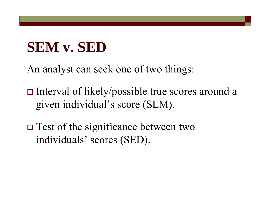An analyst can seek one of two things:

- $\Box$  Interval of likely/possible true scores around a given individual's score (SEM).
- $\Box$  Test of the significance between two individuals' scores (SED).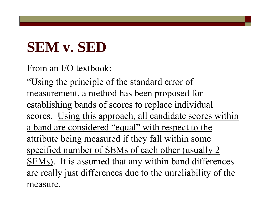From an I/O textbook:

"Using the principle of the standard error of measurement, a method has been proposed for establishing bands of scores to replace individual scores. Using this approach, all candidate scores within a band are considered "equal" with respect to the attribute being measured if they fall within some specified number of SEMs of each other (usually 2 SEMs). It is assumed that any within band differences are really just differences due to the unreliability of the measure.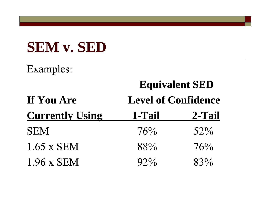Examples:

#### **Equivalent SED** If You Are **Level of Confidence Currently Using 1-Tail 2-Tail** SEM $76\%$  52\% 1.65 x SEM $88\%$  76% 1.96 x SEM $92\%$  83%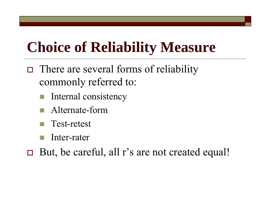- $\Box$  There are several forms of reliability commonly referred to:
	- Internal consistency
	- Alternate-form
	- Test-retest
	- Inter-rater

 $\Box$ But, be careful, all r's are not created equal!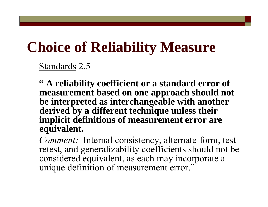#### Standards 2.5

**" A reliability coefficient or a standard error of measurement based on one approach should not be interpreted as interchangeable with another derived by a different technique unless their implicit definitions of measurement error are equivalent.**

*Comment:* Internal consistency, alternate-form, testretest, and generalizability coefficients should not be considered equivalent, as each may incorporate a unique definition of measurement error."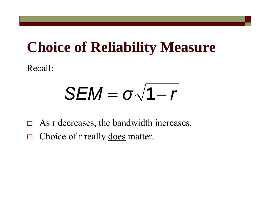Recall:

*SEM* = *σ* $√$ **1**−*r* 

- $\Box$ As r decreases, the bandwidth increases.
- $\Box$ Choice of r really does matter.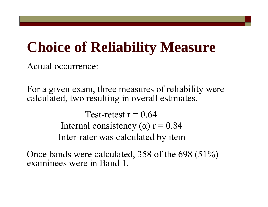Actual occurrence:

For a given exam, three measures of reliability were calculated, two resulting in overall estimates.

> Test-retest  $r = 0.64$ Internal consistency ( $\alpha$ ) r = 0.84 Inter-rater was calculated by item

Once bands were calculated, 358 of the 698 (51%) examinees were in Band 1.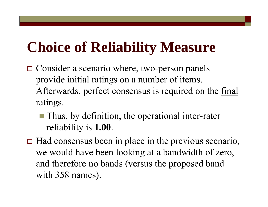- Consider a scenario where, two-person panels provide initial ratings on a number of items. Afterwards, perfect consensus is required on the final ratings.
	- Thus, by definition, the operational inter-rater reliability is **1.00**.
- $\Box$  Had consensus been in place in the previous scenario, we would have been looking at a bandwidth of zero, and therefore no bands (versus the proposed band with 358 names).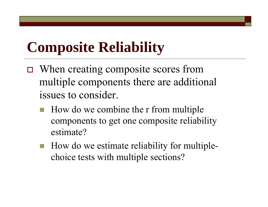## **Composite Reliability**

- When creating composite scores from multiple components there are additional issues to consider.
	- How do we combine the r from multiple components to get one composite reliability estimate?
	- How do we estimate reliability for multiplechoice tests with multiple sections?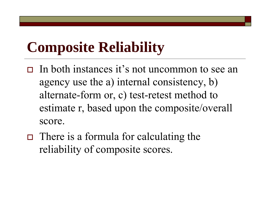### **Composite Reliability**

- $\Box$  In both instances it's not uncommon to see an agency use the a) internal consistency, b) alternate-form or, c) test-retest method to estimate r, based upon the composite/overall score.
- $\Box$  There is a formula for calculating the reliability of composite scores.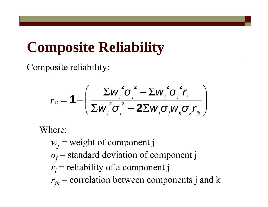## **Composite Reliability**

Composite reliability:

$$
r_c = 1 - \left( \frac{\sum w_j^2 \sigma_j^2 - \sum w_j^2 \sigma_j^2 r_j}{\sum w_j^2 \sigma_j^2 + 2 \sum w_j \sigma_j w_k \sigma_k r_{jk}} \right)
$$

Where:

 $w_i$  = weight of component j  $\sigma_i$  = standard deviation of component j  $r_i$  = reliability of a component j  $r_{ik}$  = correlation between components j and k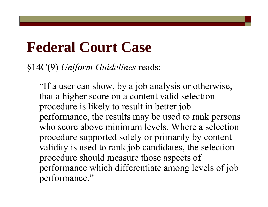§14C(9) *Uniform Guidelines* reads:

"If a user can show, by a job analysis or otherwise, that a higher score on a content valid selection procedure is likely to result in better job performance, the results may be used to rank persons who score above minimum levels. Where a selection procedure supported solely or primarily by content validity is used to rank job candidates, the selection procedure should measure those aspects of performance which differentiate among levels of job performance."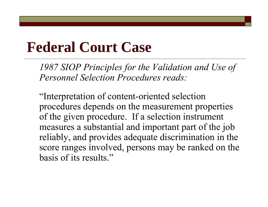*1987 SIOP Principles for the Validation and Use of Personnel Selection Procedures reads:*

"Interpretation of content-oriented selection procedures depends on the measurement properties of the given procedure. If a selection instrument measures a substantial and important part of the job reliably, and provides adequate discrimination in the score ranges involved, persons may be ranked on the basis of its results."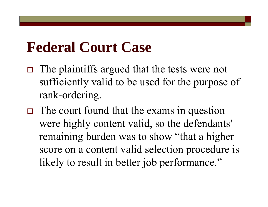- $\Box$  The plaintiffs argued that the tests were not sufficiently valid to be used for the purpose of rank-ordering.
- $\Box$  The court found that the exams in question were highly content valid, so the defendants' remaining burden was to show "that a higher score on a content valid selection procedure is likely to result in better job performance."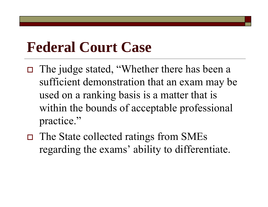- The judge stated, "Whether there has been a sufficient demonstration that an exam may be used on a ranking basis is a matter that is within the bounds of acceptable professional practice."
- The State collected ratings from SMEs regarding the exams' ability to differentiate.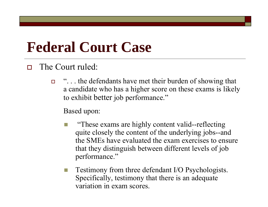#### $\Box$ The Court ruled:

 $\Box$  ". . . the defendants have met their burden of showing that a candidate who has a higher score on these exams is likely to exhibit better job performance."

Based upon:

- П "These exams are highly content valid--reflecting quite closely the content of the underlying jobs--and the SMEs have evaluated the exam exercises to ensure that they distinguish between different levels of job performance."
- Testimony from three defendant I/O Psychologists. Specifically, testimony that there is an adequate variation in exam scores.